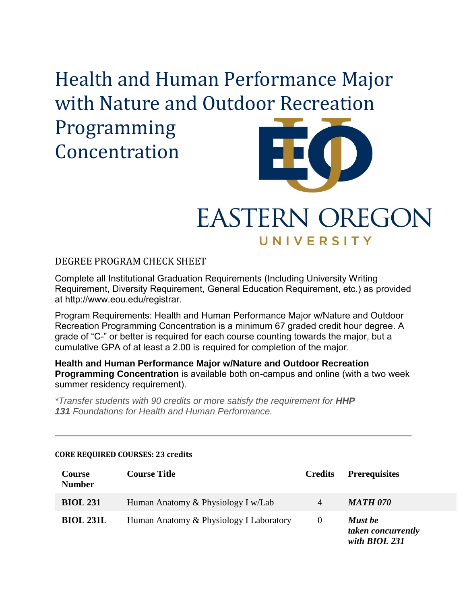# Health and Human Performance Major with Nature and Outdoor Recreation Programming Concentration

## **EASTERN OREGON** UNIVERSITY

DEGREE PROGRAM CHECK SHEET

Complete all Institutional Graduation Requirements (Including University Writing Requirement, Diversity Requirement, General Education Requirement, etc.) as provided at http://www.eou.edu/registrar.

Program Requirements: Health and Human Performance Major w/Nature and Outdoor Recreation Programming Concentration is a minimum 67 graded credit hour degree. A grade of "C-" or better is required for each course counting towards the major, but a cumulative GPA of at least a 2.00 is required for completion of the major.

**Health and Human Performance Major w/Nature and Outdoor Recreation Programming Concentration** is available both on-campus and online (with a two week summer residency requirement).

*\*Transfer students with 90 credits or more satisfy the requirement for HHP 131 Foundations for Health and Human Performance.*

| <b>Course</b><br><b>Number</b> | <b>Course Title</b>                     | <b>Credits</b> | <b>Prerequisites</b>                           |
|--------------------------------|-----------------------------------------|----------------|------------------------------------------------|
| <b>BIOL 231</b>                | Human Anatomy & Physiology I w/Lab      | 4              | <b>MATH 070</b>                                |
| <b>BIOL 231L</b>               | Human Anatomy & Physiology I Laboratory | $\theta$       | Must be<br>taken concurrently<br>with BIOL 231 |

#### **CORE REQUIRED COURSES: 23 credits**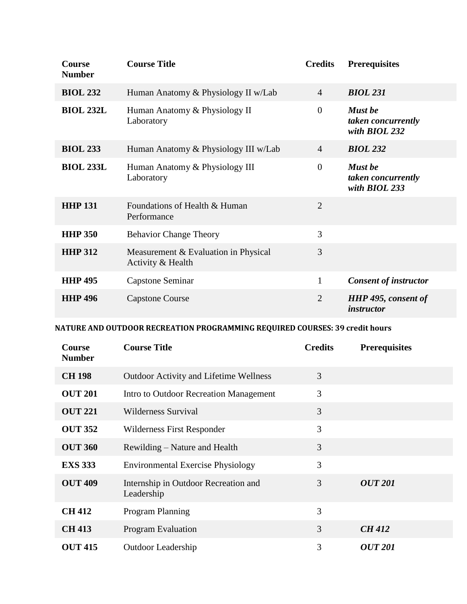| <b>Course</b><br><b>Number</b> | <b>Course Title</b>                                       | <b>Credits</b> | <b>Prerequisites</b>                                  |
|--------------------------------|-----------------------------------------------------------|----------------|-------------------------------------------------------|
| <b>BIOL 232</b>                | Human Anatomy & Physiology II w/Lab                       | $\overline{4}$ | <b>BIOL 231</b>                                       |
| <b>BIOL 232L</b>               | Human Anatomy & Physiology II<br>Laboratory               | $\overline{0}$ | Must be<br>taken concurrently<br>with BIOL 232        |
| <b>BIOL 233</b>                | Human Anatomy & Physiology III w/Lab                      | $\overline{4}$ | <b>BIOL 232</b>                                       |
| <b>BIOL 233L</b>               | Human Anatomy & Physiology III<br>Laboratory              | $\overline{0}$ | <b>Must</b> be<br>taken concurrently<br>with BIOL 233 |
| <b>HHP 131</b>                 | Foundations of Health & Human<br>Performance              | $\overline{2}$ |                                                       |
| <b>HHP 350</b>                 | <b>Behavior Change Theory</b>                             | 3              |                                                       |
| <b>HHP 312</b>                 | Measurement & Evaluation in Physical<br>Activity & Health | 3              |                                                       |
| <b>HHP 495</b>                 | Capstone Seminar                                          | $\mathbf{1}$   | <b>Consent of instructor</b>                          |
| <b>HHP 496</b>                 | <b>Capstone Course</b>                                    | $\overline{2}$ | <b>HHP</b> 495, consent of<br>instructor              |

#### **NATURE AND OUTDOOR RECREATION PROGRAMMING REQUIRED COURSES: 39 credit hours**

| <b>Course</b><br><b>Number</b> | <b>Course Title</b>                                | <b>Credits</b> | <b>Prerequisites</b>  |
|--------------------------------|----------------------------------------------------|----------------|-----------------------|
| <b>CH 198</b>                  | <b>Outdoor Activity and Lifetime Wellness</b>      | 3              |                       |
| <b>OUT 201</b>                 | Intro to Outdoor Recreation Management             | 3              |                       |
| <b>OUT 221</b>                 | Wilderness Survival                                | 3              |                       |
| <b>OUT 352</b>                 | Wilderness First Responder                         | 3              |                       |
| <b>OUT 360</b>                 | Rewilding – Nature and Health                      | 3              |                       |
| <b>EXS 333</b>                 | <b>Environmental Exercise Physiology</b>           | 3              |                       |
| <b>OUT 409</b>                 | Internship in Outdoor Recreation and<br>Leadership | 3              | <i><b>OUT 201</b></i> |
| <b>CH 412</b>                  | Program Planning                                   | 3              |                       |
| <b>CH 413</b>                  | <b>Program Evaluation</b>                          | $\overline{3}$ | <b>CH 412</b>         |
| <b>OUT 415</b>                 | <b>Outdoor Leadership</b>                          | 3              | <i><b>OUT 201</b></i> |